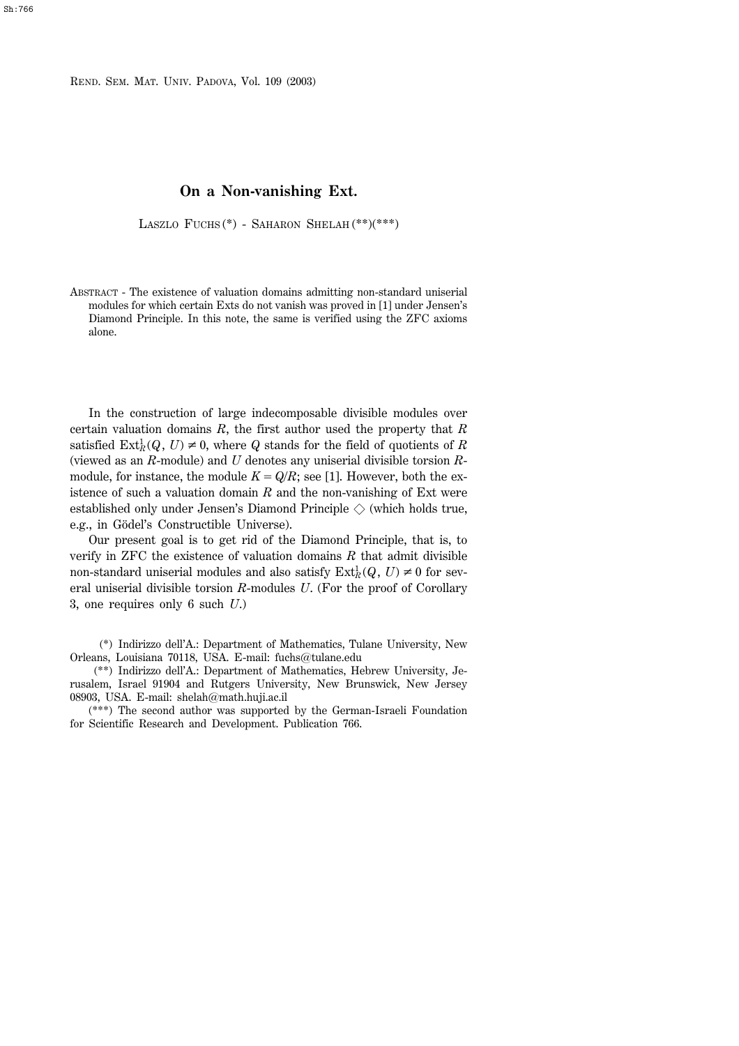REND. SEM. MAT. UNIV. PADOVA, Vol. 109 (2003)

## **On a Non-vanishing Ext.**

LASZLO FUCHS (\*) - SAHARON SHELAH (\*\*)(\*\*\*)

ABSTRACT - The existence of valuation domains admitting non-standard uniserial modules for which certain Exts do not vanish was proved in [1] under Jensen's Diamond Principle. In this note, the same is verified using the ZFC axioms alone.

In the construction of large indecomposable divisible modules over certain valuation domains *R*, the first author used the property that *R* satisfied  $\text{Ext}^1_R(Q, U) \neq 0$ , where *Q* stands for the field of quotients of *R* (viewed as an *R*-module) and *U* denotes any uniserial divisible torsion *R*module, for instance, the module  $K = Q/R$ ; see [1]. However, both the existence of such a valuation domain *R* and the non-vanishing of Ext were established only under Jensen's Diamond Principle  $\Diamond$  (which holds true, e.g., in Gödel's Constructible Universe).

Our present goal is to get rid of the Diamond Principle, that is, to verify in ZFC the existence of valuation domains *R* that admit divisible non-standard uniserial modules and also satisfy  $\text{Ext}^1_R(Q, U) \neq 0$  for several uniserial divisible torsion *R*-modules *U*. (For the proof of Corollary 3, one requires only 6 such *U*.)

(\*) Indirizzo dell'A.: Department of Mathematics, Tulane University, New Orleans, Louisiana 70118, USA. E-mail: fuchs $@$ tulane.edu

(\*\*) Indirizzo dell'A.: Department of Mathematics, Hebrew University, Jerusalem, Israel 91904 and Rutgers University, New Brunswick, New Jersey 08903, USA. E-mail:  $shelah@math,huji.ac.i$ 

(\*\*\*) The second author was supported by the German-Israeli Foundation for Scientific Research and Development. Publication 766.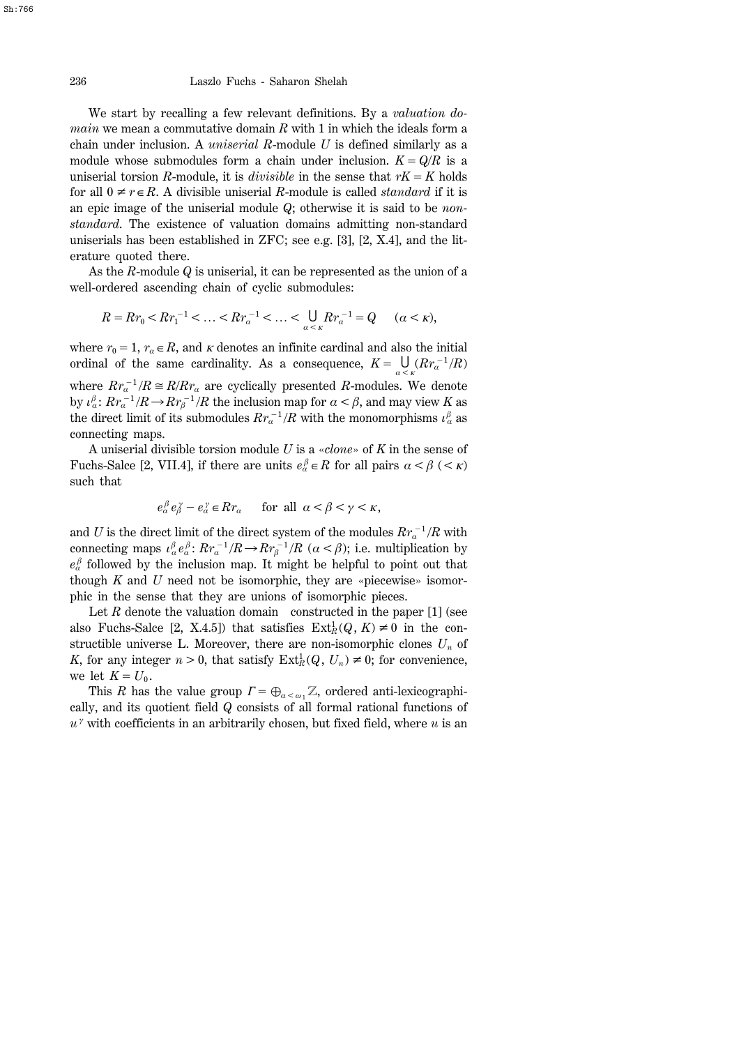236 Laszlo Fuchs - Saharon Shelah

We start by recalling a few relevant definitions. By a *valuation domain* we mean a commutative domain *R* with 1 in which the ideals form a chain under inclusion. A *uniserial R*-module *U* is defined similarly as a module whose submodules form a chain under inclusion.  $K = Q/R$  is a uniserial torsion *R*-module, it is *divisible* in the sense that  $rK = K$  holds for all  $0 \neq r \in R$ . A divisible uniserial *R*-module is called *standard* if it is an epic image of the uniserial module *Q*; otherwise it is said to be *nonstandard*. The existence of valuation domains admitting non-standard uniserials has been established in ZFC; see e.g. [3], [2, X.4], and the literature quoted there.

As the *R*-module *Q* is uniserial, it can be represented as the union of a well-ordered ascending chain of cyclic submodules:

$$
R = R r_0 < R r_1^{-1} < \dots < R r_a^{-1} < \dots < \bigcup_{a < k} R r_a^{-1} = Q \qquad (\alpha < \kappa),
$$

where  $r_0 = 1$ ,  $r_a \in R$ , and *k* denotes an infinite cardinal and also the initial ordinal of the same cardinality. As a consequence,  $K = \bigcup_{\alpha \leq k} (Rr_a^{-1}/R)$ where  $Rr_a^{-1}/R \cong R/Rr_a$  are cyclically presented *R*-modules. We denote by  $\iota^{\beta}_{\alpha}$ :  $Rr_{\alpha}^{-1}/R \rightarrow R r_{\beta}^{-1}/R$  the inclusion map for  $\alpha < \beta$ , and may view  $K$  as the direct limit of its submodules  $Rr_a^{-1}/R$  with the monomorphisms  $\iota^{\beta}_{\alpha}$  as connecting maps.

A uniserial divisible torsion module *U* is a «*clone*» of *K* in the sense of Fuchs-Salce [2, VII.4], if there are units  $e^{\beta}_{\alpha} \in R$  for all pairs  $\alpha < \beta$  (< *k*) such that

 $e^{\beta}_\alpha e^{\gamma}_\beta - e^{\gamma}_\alpha \in Rr_\alpha$  for all  $\alpha < \beta < \gamma < \kappa$ ,

and *U* is the direct limit of the direct system of the modules  $Rr_a^{-1}/R$  with connecting maps  $\iota^{\beta}_{\alpha} e^{\beta}_{\alpha}$ :  $Rr_{\alpha}^{-1}/R \rightarrow Rr_{\beta}^{-1}/R$  ( $\alpha < \beta$ ); i.e. multiplication by  $e^{\beta}_{\alpha}$  followed by the inclusion map. It might be helpful to point out that though  $K$  and  $U$  need not be isomorphic, they are «piecewise» isomorphic in the sense that they are unions of isomorphic pieces.

Let *R* denote the valuation domain constructed in the paper [1] (see also Fuchs-Salce [2, X.4.5]) that satisfies  $\text{Ext}^1_R(Q, K) \neq 0$  in the constructible universe L. Moreover, there are non-isomorphic clones  $U_n$  of *K*, for any integer  $n > 0$ , that satisfy  $\text{Ext}^1_R(Q, U_n) \neq 0$ ; for convenience, we let  $K = U_0$ .

This *R* has the value group  $\Gamma = \bigoplus_{\alpha < \omega} Z$ , ordered anti-lexicographically, and its quotient field *Q* consists of all formal rational functions of  $u^{\gamma}$  with coefficients in an arbitrarily chosen, but fixed field, where  $u$  is an

Sh:766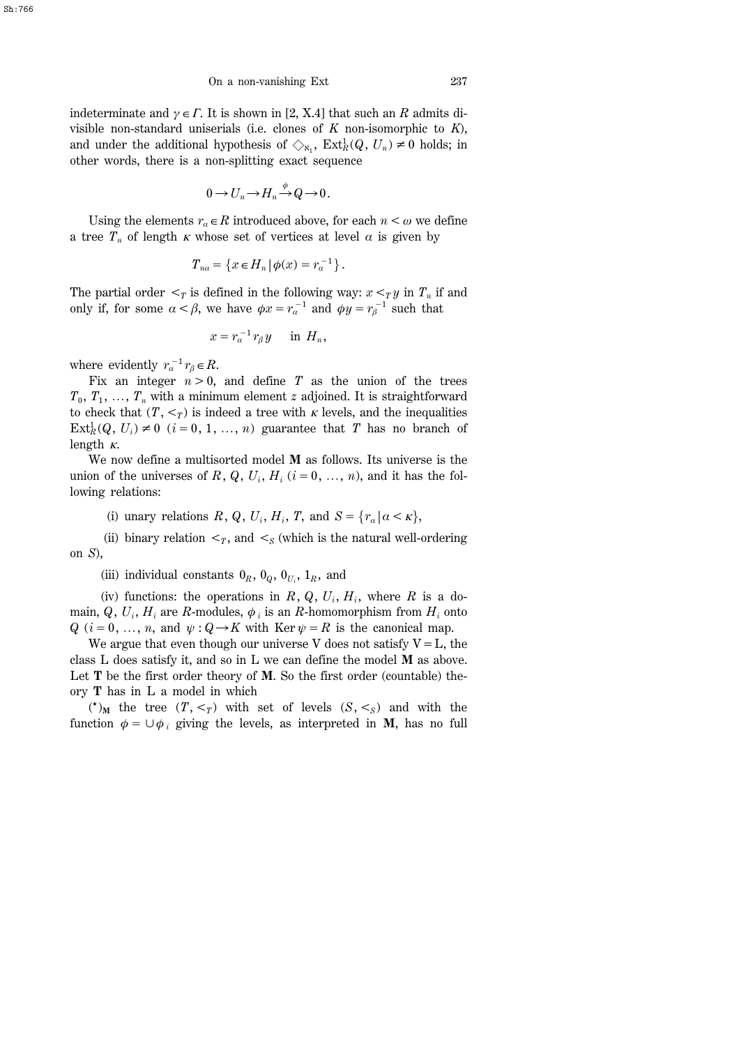indeterminate and  $\gamma \in \Gamma$ . It is shown in [2, X.4] that such an R admits divisible non-standard uniserials (i.e. clones of *K* non-isomorphic to *K*), and under the additional hypothesis of  $\Diamond_{\kappa_1}$ ,  $\text{Ext}^1_R(Q, U_n) \neq 0$  holds; in other words, there is a non-splitting exact sequence

$$
0 \to U_n \to H_n \xrightarrow{\phi} Q \to 0.
$$

Using the elements  $r_a \in R$  introduced above, for each  $n < \omega$  we define a tree  $T_n$  of length  $\kappa$  whose set of vertices at level  $\alpha$  is given by

$$
T_{na} = \{x \in H_n | \phi(x) = r_a^{-1}\}.
$$

The partial order  $\leq_T$  is defined in the following way:  $x \leq_T y$  in  $T_n$  if and only if, for some  $\alpha < \beta$ , we have  $\phi x = r_a^{-1}$  and  $\phi y = r_\beta^{-1}$  such that

$$
x = r_a^{-1} r_\beta y \quad \text{in } H_n,
$$

where evidently  $r_a^{-1} r_\beta \in R$ .

Fix an integer  $n > 0$ , and define *T* as the union of the trees  $T_0, T_1, \ldots, T_n$  with a minimum element *z* adjoined. It is straightforward to check that  $(T, \leq_T)$  is indeed a tree with *k* levels, and the inequalities  $\text{Ext}_{R}^{1}(Q, U_{i}) \neq 0$  (*i* = 0, 1, ..., *n*) guarantee that *T* has no branch of length *k*.

We now define a multisorted model **M** as follows. Its universe is the union of the universes of  $R$ ,  $Q$ ,  $U_i$ ,  $H_i$  ( $i = 0, ..., n$ ), and it has the following relations:

(i) unary relations  $R$ ,  $Q$ ,  $U_i$ ,  $H_i$ ,  $T$ , and  $S = \{r_a | a \lt K\}$ ,

(ii) binary relation  $\leq_T$ , and  $\leq_S$  (which is the natural well-ordering on *S*),

(iii) individual constants  $0_R$ ,  $0_Q$ ,  $0_{U_i}$ ,  $1_R$ , and

(iv) functions: the operations in  $R$ ,  $Q$ ,  $U_i$ ,  $H_i$ , where  $R$  is a domain,  $Q$ ,  $U_i$ ,  $H_i$  are *R*-modules,  $\phi_i$  is an *R*-homomorphism from  $H_i$  onto *Q* (*i* = 0, ..., *n*, and  $\psi$  : *Q*  $\rightarrow$  *K* with Ker  $\psi$  = *R* is the canonical map.

We argue that even though our universe V does not satisfy  $V = L$ , the class L does satisfy it, and so in L we can define the model **M** as above. Let **T** be the first order theory of **M**. So the first order (countable) theory **T** has in L a model in which

 $({}^{\star})_M$  the tree  $(T, <_T)$  with set of levels  $(S, <_S)$  and with the function  $\phi = \bigcup \phi_i$  giving the levels, as interpreted in **M**, has no full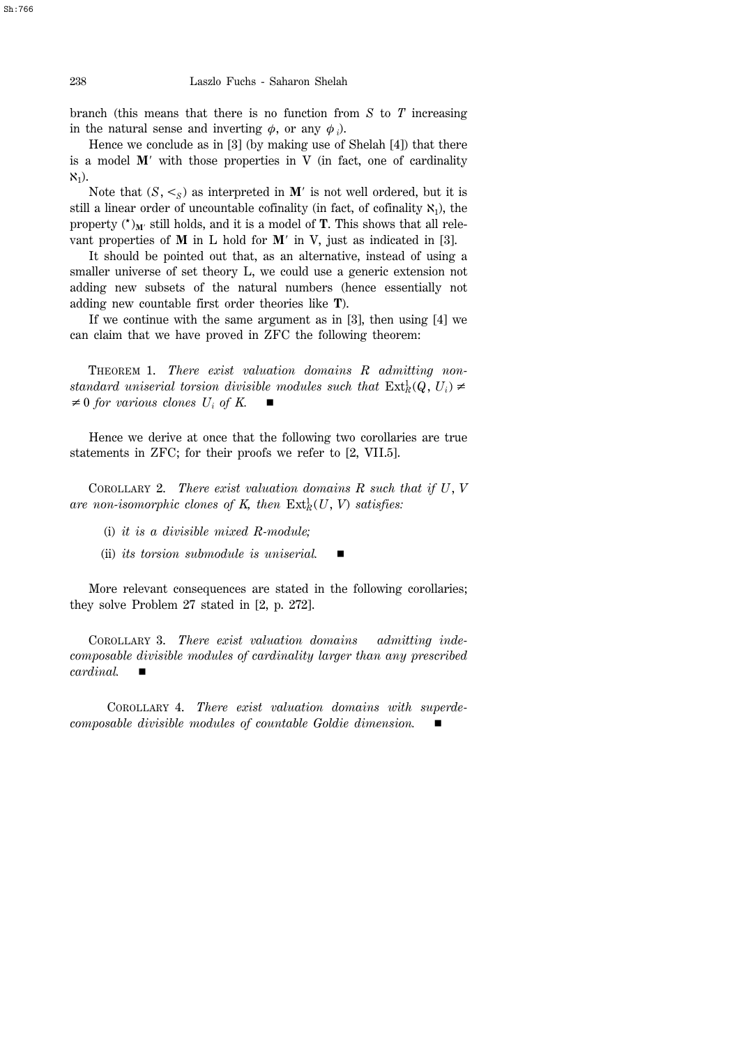branch (this means that there is no function from *S* to *T* increasing in the natural sense and inverting  $\phi$ , or any  $\phi$ <sub>*i*</sub>).

Hence we conclude as in [3] (by making use of Shelah [4]) that there is a model  $M'$  with those properties in V (in fact, one of cardinality  $X_1$ ).

Note that  $(S, \leq_S)$  as interpreted in M<sup>'</sup> is not well ordered, but it is still a linear order of uncountable cofinality (in fact, of cofinality  $\aleph_1$ ), the property  $({}^{\star})_{M}$  still holds, and it is a model of **T**. This shows that all relevant properties of  $M$  in  $L$  hold for  $M'$  in  $V$ , just as indicated in [3].

It should be pointed out that, as an alternative, instead of using a smaller universe of set theory L, we could use a generic extension not adding new subsets of the natural numbers (hence essentially not adding new countable first order theories like **T**).

If we continue with the same argument as in [3], then using [4] we can claim that we have proved in ZFC the following theorem:

THEOREM 1. *There exist valuation domains R admitting nonstandard uniserial torsion divisible modules such that*  $\text{Ext}^1_R(Q, U_i) \neq$  $\neq 0$  *for various clones U<sub>i</sub> of K.* 

Hence we derive at once that the following two corollaries are true statements in ZFC; for their proofs we refer to [2, VII.5].

COROLLARY 2. *There exist valuation domains R such that if U*, *V are non-isomorphic clones of K, then* Ext*<sup>R</sup>* <sup>1</sup> (*U*, *V*) *satisfies:*

- (i) *it is a divisible mixed R-module;*
- (ii) *its torsion submodule is uniserial.*

More relevant consequences are stated in the following corollaries; they solve Problem 27 stated in [2, p. 272].

COROLLARY 3. *There exist valuation domains admitting indecomposable divisible modules of cardinality larger than any prescribed*  $cardinal$ .

COROLLARY 4. *There exist valuation domains with superdecomposable divisible modules of countable Goldie dimension.* 

Sh:766